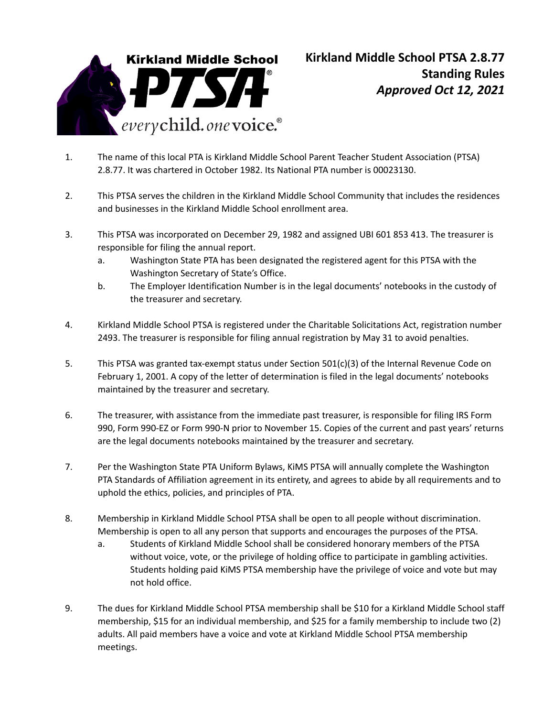

- 1. The name of this local PTA is Kirkland Middle School Parent Teacher Student Association (PTSA) 2.8.77. It was chartered in October 1982. Its National PTA number is 00023130.
- 2. This PTSA serves the children in the Kirkland Middle School Community that includes the residences and businesses in the Kirkland Middle School enrollment area.
- 3. This PTSA was incorporated on December 29, 1982 and assigned UBI 601 853 413. The treasurer is responsible for filing the annual report.
	- a. Washington State PTA has been designated the registered agent for this PTSA with the Washington Secretary of State's Office.
	- b. The Employer Identification Number is in the legal documents' notebooks in the custody of the treasurer and secretary.
- 4. Kirkland Middle School PTSA is registered under the Charitable Solicitations Act, registration number 2493. The treasurer is responsible for filing annual registration by May 31 to avoid penalties.
- 5. This PTSA was granted tax-exempt status under Section 501(c)(3) of the Internal Revenue Code on February 1, 2001. A copy of the letter of determination is filed in the legal documents' notebooks maintained by the treasurer and secretary.
- 6. The treasurer, with assistance from the immediate past treasurer, is responsible for filing IRS Form 990, Form 990-EZ or Form 990-N prior to November 15. Copies of the current and past years' returns are the legal documents notebooks maintained by the treasurer and secretary.
- 7. Per the Washington State PTA Uniform Bylaws, KiMS PTSA will annually complete the Washington PTA Standards of Affiliation agreement in its entirety, and agrees to abide by all requirements and to uphold the ethics, policies, and principles of PTA.
- 8. Membership in Kirkland Middle School PTSA shall be open to all people without discrimination. Membership is open to all any person that supports and encourages the purposes of the PTSA.
	- a. Students of Kirkland Middle School shall be considered honorary members of the PTSA without voice, vote, or the privilege of holding office to participate in gambling activities. Students holding paid KiMS PTSA membership have the privilege of voice and vote but may not hold office.
- 9. The dues for Kirkland Middle School PTSA membership shall be \$10 for a Kirkland Middle School staff membership, \$15 for an individual membership, and \$25 for a family membership to include two (2) adults. All paid members have a voice and vote at Kirkland Middle School PTSA membership meetings.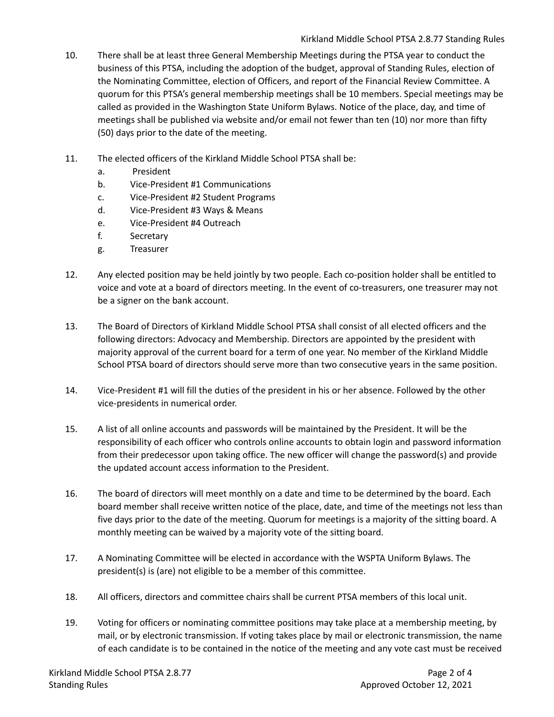- 10. There shall be at least three General Membership Meetings during the PTSA year to conduct the business of this PTSA, including the adoption of the budget, approval of Standing Rules, election of the Nominating Committee, election of Officers, and report of the Financial Review Committee. A quorum for this PTSA's general membership meetings shall be 10 members. Special meetings may be called as provided in the Washington State Uniform Bylaws. Notice of the place, day, and time of meetings shall be published via website and/or email not fewer than ten (10) nor more than fifty (50) days prior to the date of the meeting.
- 11. The elected officers of the Kirkland Middle School PTSA shall be:
	- a. President
	- b. Vice-President #1 Communications
	- c. Vice-President #2 Student Programs
	- d. Vice-President #3 Ways & Means
	- e. Vice-President #4 Outreach
	- f. Secretary
	- g. Treasurer
- 12. Any elected position may be held jointly by two people. Each co-position holder shall be entitled to voice and vote at a board of directors meeting. In the event of co-treasurers, one treasurer may not be a signer on the bank account.
- 13. The Board of Directors of Kirkland Middle School PTSA shall consist of all elected officers and the following directors: Advocacy and Membership. Directors are appointed by the president with majority approval of the current board for a term of one year. No member of the Kirkland Middle School PTSA board of directors should serve more than two consecutive years in the same position.
- 14. Vice-President #1 will fill the duties of the president in his or her absence. Followed by the other vice-presidents in numerical order.
- 15. A list of all online accounts and passwords will be maintained by the President. It will be the responsibility of each officer who controls online accounts to obtain login and password information from their predecessor upon taking office. The new officer will change the password(s) and provide the updated account access information to the President.
- 16. The board of directors will meet monthly on a date and time to be determined by the board. Each board member shall receive written notice of the place, date, and time of the meetings not less than five days prior to the date of the meeting. Quorum for meetings is a majority of the sitting board. A monthly meeting can be waived by a majority vote of the sitting board.
- 17. A Nominating Committee will be elected in accordance with the WSPTA Uniform Bylaws. The president(s) is (are) not eligible to be a member of this committee.
- 18. All officers, directors and committee chairs shall be current PTSA members of this local unit.
- 19. Voting for officers or nominating committee positions may take place at a membership meeting, by mail, or by electronic transmission. If voting takes place by mail or electronic transmission, the name of each candidate is to be contained in the notice of the meeting and any vote cast must be received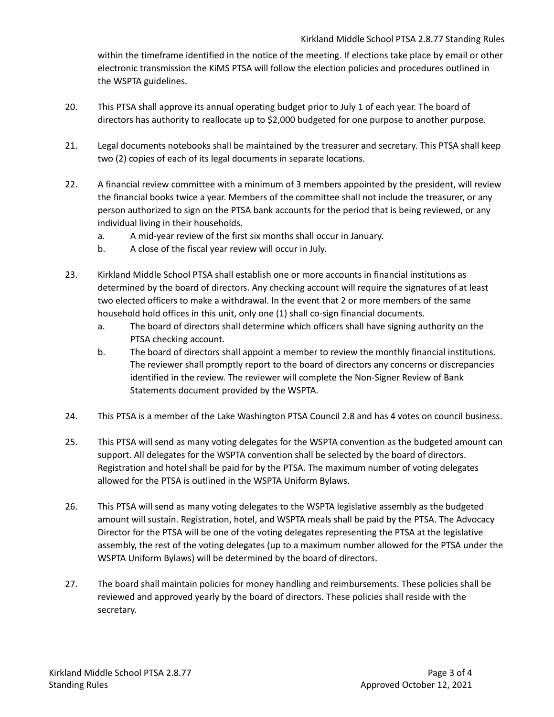within the timeframe identified in the notice of the meeting. If elections take place by email or other electronic transmission the KiMS PTSA will follow the election policies and procedures outlined in the WSPTA guidelines.

- 20. This PTSA shall approve its annual operating budget prior to July 1 of each year. The board of directors has authority to reallocate up to \$2,000 budgeted for one purpose to another purpose.
- 21. Legal documents notebooks shall be maintained by the treasurer and secretary. This PTSA shall keep two (2) copies of each of its legal documents in separate locations.
- 22. A financial review committee with a minimum of 3 members appointed by the president, will review the financial books twice a year. Members of the committee shall not include the treasurer, or any person authorized to sign on the PTSA bank accounts for the period that is being reviewed, or any individual living in their households.
	- a. A mid-year review of the first six months shall occur in January.
	- b. A close of the fiscal year review will occur in July.
- 23. Kirkland Middle School PTSA shall establish one or more accounts in financial institutions as determined by the board of directors. Any checking account will require the signatures of at least two elected officers to make a withdrawal. In the event that 2 or more members of the same household hold offices in this unit, only one (1) shall co-sign financial documents.
	- a. The board of directors shall determine which officers shall have signing authority on the PTSA checking account.
	- b. The board of directors shall appoint a member to review the monthly financial institutions. The reviewer shall promptly report to the board of directors any concerns or discrepancies identified in the review. The reviewer will complete the Non-Signer Review of Bank Statements document provided by the WSPTA.
- 24. This PTSA is a member of the Lake Washington PTSA Council 2.8 and has 4 votes on council business.
- 25. This PTSA will send as many voting delegates for the WSPTA convention as the budgeted amount can support. All delegates for the WSPTA convention shall be selected by the board of directors. Registration and hotel shall be paid for by the PTSA. The maximum number of voting delegates allowed for the PTSA is outlined in the WSPTA Uniform Bylaws.
- 26. This PTSA will send as many voting delegates to the WSPTA legislative assembly as the budgeted amount will sustain. Registration, hotel, and WSPTA meals shall be paid by the PTSA. The Advocacy Director for the PTSA will be one of the voting delegates representing the PTSA at the legislative assembly, the rest of the voting delegates (up to a maximum number allowed for the PTSA under the WSPTA Uniform Bylaws) will be determined by the board of directors.
- 27. The board shall maintain policies for money handling and reimbursements. These policies shall be reviewed and approved yearly by the board of directors. These policies shall reside with the secretary.